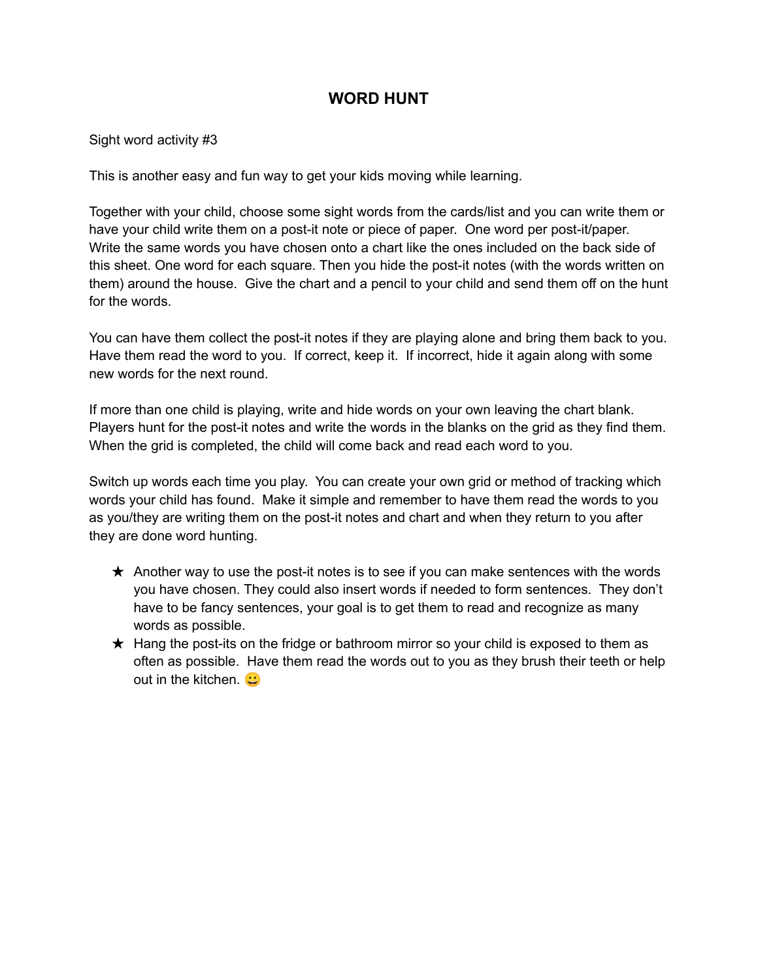## **WORD HUNT**

Sight word activity #3

This is another easy and fun way to get your kids moving while learning.

Together with your child, choose some sight words from the cards/list and you can write them or have your child write them on a post-it note or piece of paper. One word per post-it/paper. Write the same words you have chosen onto a chart like the ones included on the back side of this sheet. One word for each square. Then you hide the post-it notes (with the words written on them) around the house. Give the chart and a pencil to your child and send them off on the hunt for the words.

You can have them collect the post-it notes if they are playing alone and bring them back to you. Have them read the word to you. If correct, keep it. If incorrect, hide it again along with some new words for the next round.

If more than one child is playing, write and hide words on your own leaving the chart blank. Players hunt for the post-it notes and write the words in the blanks on the grid as they find them. When the grid is completed, the child will come back and read each word to you.

Switch up words each time you play. You can create your own grid or method of tracking which words your child has found. Make it simple and remember to have them read the words to you as you/they are writing them on the post-it notes and chart and when they return to you after they are done word hunting.

- $\star$  Another way to use the post-it notes is to see if you can make sentences with the words you have chosen. They could also insert words if needed to form sentences. They don't have to be fancy sentences, your goal is to get them to read and recognize as many words as possible.
- $\star$  Hang the post-its on the fridge or bathroom mirror so your child is exposed to them as often as possible. Have them read the words out to you as they brush their teeth or help out in the kitchen.  $\bullet$